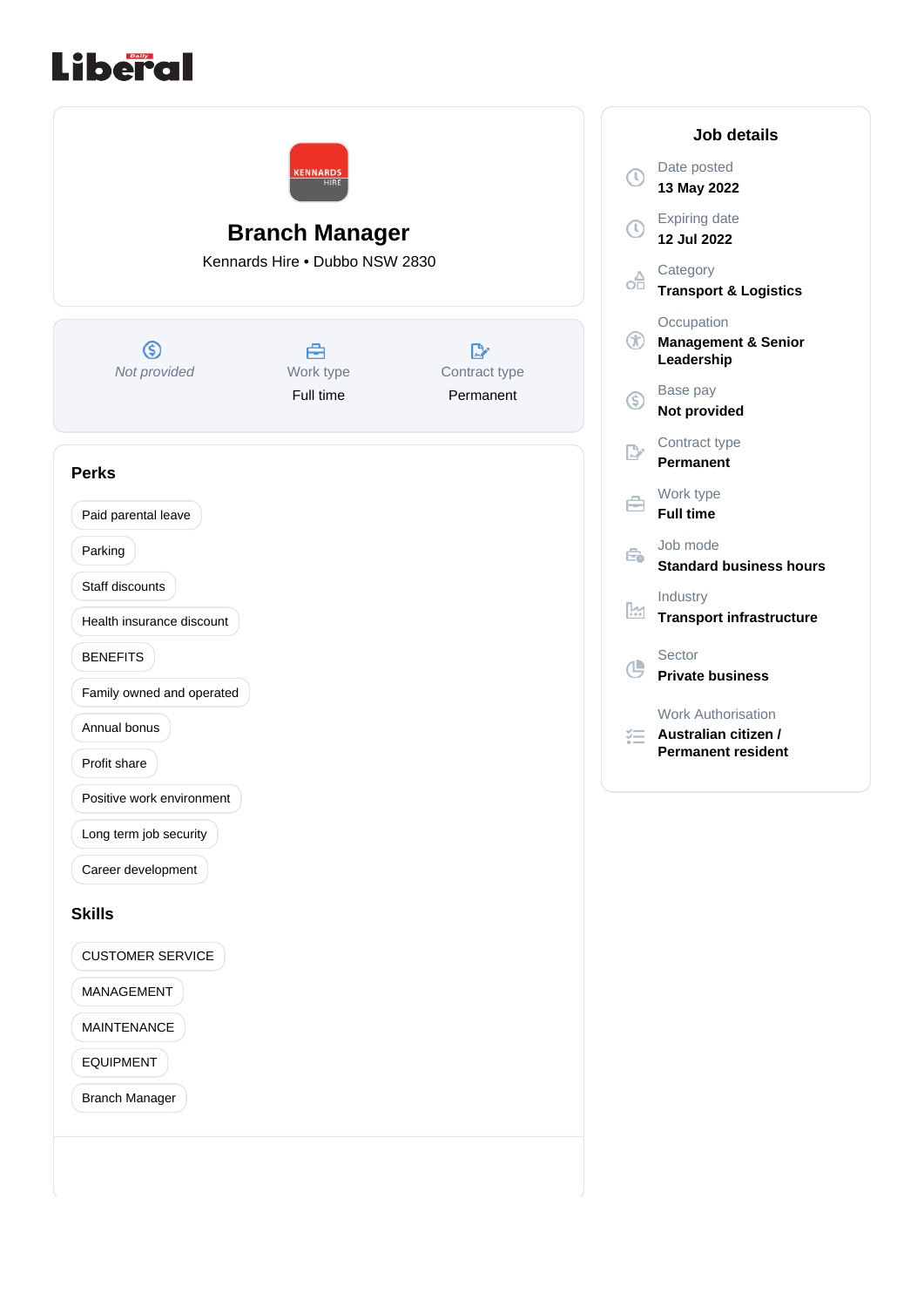



**13 May 2022** Expiring date **12 Jul 2022 Category Transport & Logistics Occupation Management & Senior Leadership** Base pay **Not provided** Contract type **Permanent** Work type **Full time** Job mode **Standard business hours** Industry **Transport infrastructure Private business** Work Authorisation **Australian citizen / Permanent resident**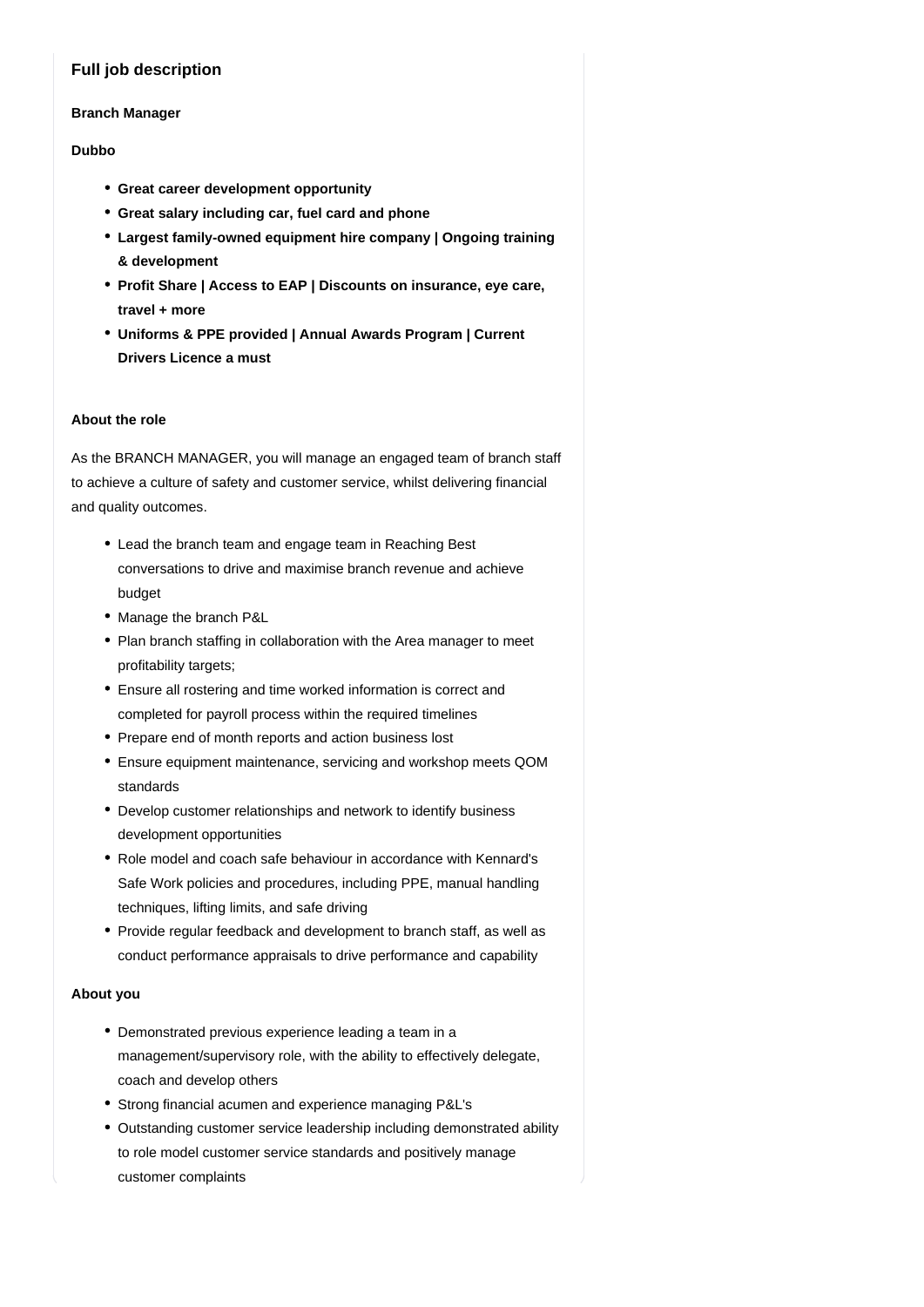# **Full job description**

#### **Branch Manager**

### **Dubbo**

- **Great career development opportunity**
- **Great salary including car, fuel card and phone**
- **Largest family-owned equipment hire company | Ongoing training & development**
- **Profit Share | Access to EAP | Discounts on insurance, eye care, travel + more**
- **Uniforms & PPE provided | Annual Awards Program | Current Drivers Licence a must**

#### **About the role**

As the BRANCH MANAGER, you will manage an engaged team of branch staff to achieve a culture of safety and customer service, whilst delivering financial and quality outcomes.

- Lead the branch team and engage team in Reaching Best conversations to drive and maximise branch revenue and achieve budget
- Manage the branch P&L
- Plan branch staffing in collaboration with the Area manager to meet profitability targets;
- Ensure all rostering and time worked information is correct and completed for payroll process within the required timelines
- Prepare end of month reports and action business lost
- Ensure equipment maintenance, servicing and workshop meets QOM standards
- Develop customer relationships and network to identify business development opportunities
- Role model and coach safe behaviour in accordance with Kennard's Safe Work policies and procedures, including PPE, manual handling techniques, lifting limits, and safe driving
- Provide regular feedback and development to branch staff, as well as conduct performance appraisals to drive performance and capability

## **About you**

- Demonstrated previous experience leading a team in a management/supervisory role, with the ability to effectively delegate, coach and develop others
- Strong financial acumen and experience managing P&L's
- Outstanding customer service leadership including demonstrated ability to role model customer service standards and positively manage customer complaints